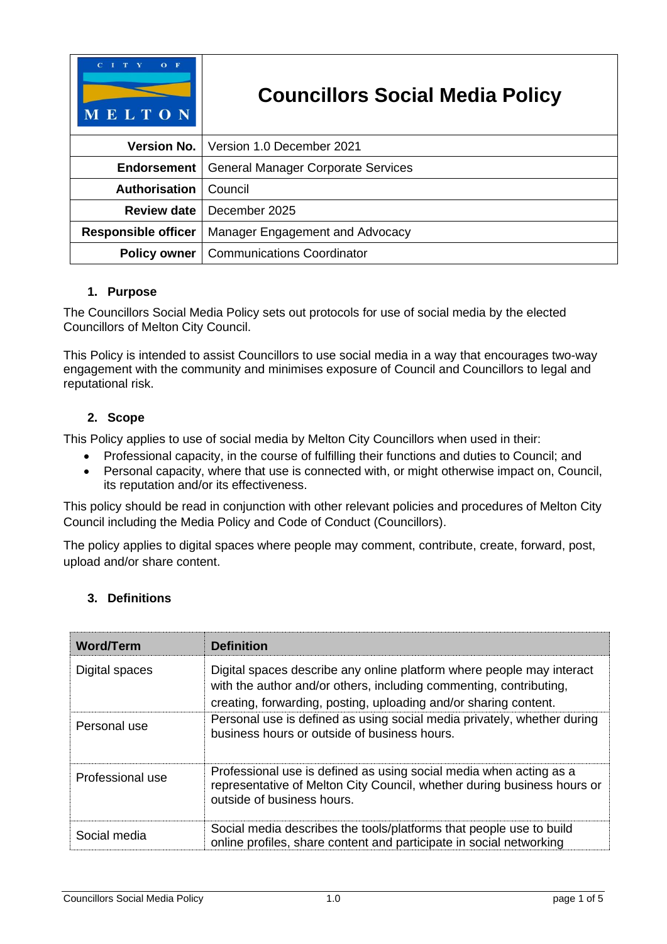| $O$ F<br>MELTON            | <b>Councillors Social Media Policy</b>    |  |
|----------------------------|-------------------------------------------|--|
| <b>Version No.</b> 1       | Version 1.0 December 2021                 |  |
| <b>Endorsement</b>         | <b>General Manager Corporate Services</b> |  |
| <b>Authorisation</b>       | Council                                   |  |
| <b>Review date</b>         | December 2025                             |  |
| <b>Responsible officer</b> | Manager Engagement and Advocacy           |  |
| <b>Policy owner</b>        | <b>Communications Coordinator</b>         |  |

## **1. Purpose**

The Councillors Social Media Policy sets out protocols for use of social media by the elected Councillors of Melton City Council.

This Policy is intended to assist Councillors to use social media in a way that encourages two-way engagement with the community and minimises exposure of Council and Councillors to legal and reputational risk.

## **2. Scope**

This Policy applies to use of social media by Melton City Councillors when used in their:

- Professional capacity, in the course of fulfilling their functions and duties to Council; and
- Personal capacity, where that use is connected with, or might otherwise impact on, Council, its reputation and/or its effectiveness.

This policy should be read in conjunction with other relevant policies and procedures of Melton City Council including the Media Policy and Code of Conduct (Councillors).

The policy applies to digital spaces where people may comment, contribute, create, forward, post, upload and/or share content.

# **3. Definitions**

| <b>Word/Term</b> | <b>Definition</b>                                                                                                                                                                                               |
|------------------|-----------------------------------------------------------------------------------------------------------------------------------------------------------------------------------------------------------------|
| Digital spaces   | Digital spaces describe any online platform where people may interact<br>with the author and/or others, including commenting, contributing,<br>creating, forwarding, posting, uploading and/or sharing content. |
| Personal use     | Personal use is defined as using social media privately, whether during<br>business hours or outside of business hours.                                                                                         |
| Professional use | Professional use is defined as using social media when acting as a<br>representative of Melton City Council, whether during business hours or<br>outside of business hours.                                     |
| Social media     | Social media describes the tools/platforms that people use to build<br>online profiles, share content and participate in social networking                                                                      |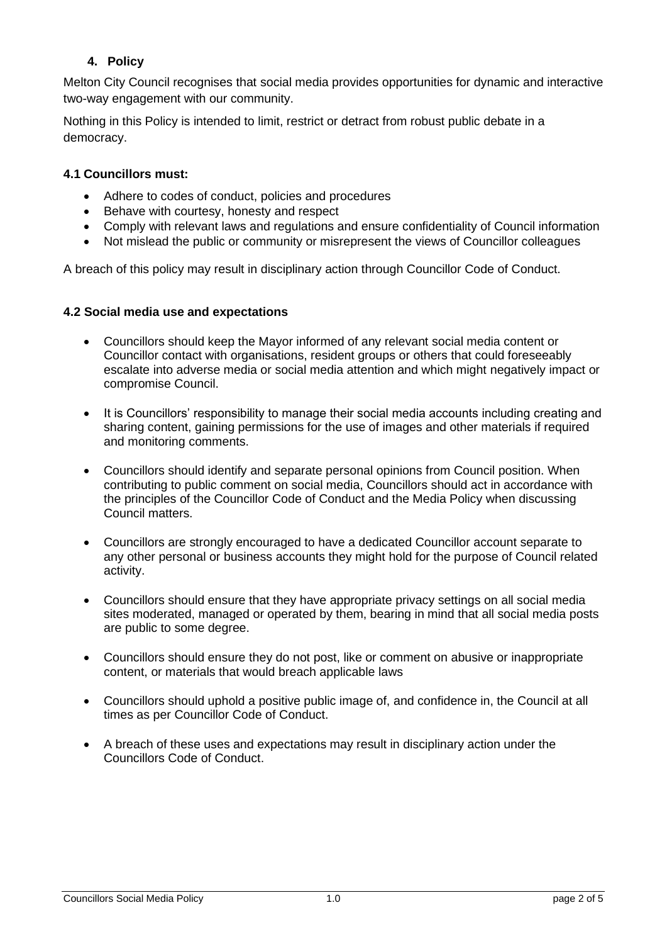# **4. Policy**

Melton City Council recognises that social media provides opportunities for dynamic and interactive two-way engagement with our community.

Nothing in this Policy is intended to limit, restrict or detract from robust public debate in a democracy.

#### **4.1 Councillors must:**

- Adhere to codes of conduct, policies and procedures
- Behave with courtesy, honesty and respect
- Comply with relevant laws and regulations and ensure confidentiality of Council information
- Not mislead the public or community or misrepresent the views of Councillor colleagues

A breach of this policy may result in disciplinary action through Councillor Code of Conduct.

#### **4.2 Social media use and expectations**

- Councillors should keep the Mayor informed of any relevant social media content or Councillor contact with organisations, resident groups or others that could foreseeably escalate into adverse media or social media attention and which might negatively impact or compromise Council.
- It is Councillors' responsibility to manage their social media accounts including creating and sharing content, gaining permissions for the use of images and other materials if required and monitoring comments.
- Councillors should identify and separate personal opinions from Council position. When contributing to public comment on social media, Councillors should act in accordance with the principles of the Councillor Code of Conduct and the Media Policy when discussing Council matters.
- Councillors are strongly encouraged to have a dedicated Councillor account separate to any other personal or business accounts they might hold for the purpose of Council related activity.
- Councillors should ensure that they have appropriate privacy settings on all social media sites moderated, managed or operated by them, bearing in mind that all social media posts are public to some degree.
- Councillors should ensure they do not post, like or comment on abusive or inappropriate content, or materials that would breach applicable laws
- Councillors should uphold a positive public image of, and confidence in, the Council at all times as per Councillor Code of Conduct.
- A breach of these uses and expectations may result in disciplinary action under the Councillors Code of Conduct.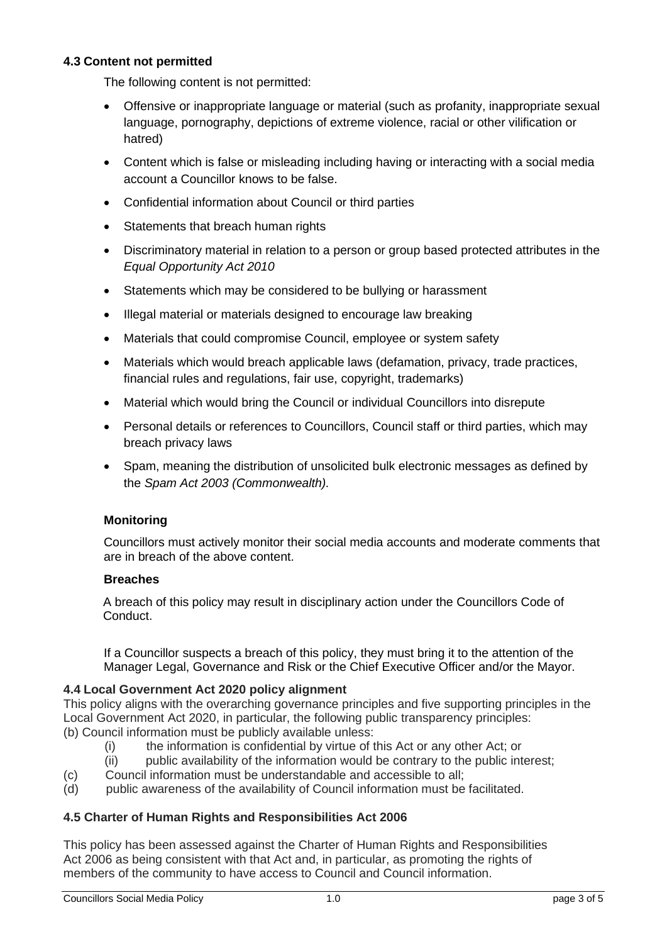## **4.3 Content not permitted**

The following content is not permitted:

- Offensive or inappropriate language or material (such as profanity, inappropriate sexual language, pornography, depictions of extreme violence, racial or other vilification or hatred)
- Content which is false or misleading including having or interacting with a social media account a Councillor knows to be false.
- Confidential information about Council or third parties
- Statements that breach human rights
- Discriminatory material in relation to a person or group based protected attributes in the *Equal Opportunity Act 2010*
- Statements which may be considered to be bullying or harassment
- Illegal material or materials designed to encourage law breaking
- Materials that could compromise Council, employee or system safety
- Materials which would breach applicable laws (defamation, privacy, trade practices, financial rules and regulations, fair use, copyright, trademarks)
- Material which would bring the Council or individual Councillors into disrepute
- Personal details or references to Councillors, Council staff or third parties, which may breach privacy laws
- Spam, meaning the distribution of unsolicited bulk electronic messages as defined by the *Spam Act 2003 (Commonwealth).*

## **Monitoring**

Councillors must actively monitor their social media accounts and moderate comments that are in breach of the above content.

#### **Breaches**

A breach of this policy may result in disciplinary action under the Councillors Code of Conduct.

If a Councillor suspects a breach of this policy, they must bring it to the attention of the Manager Legal, Governance and Risk or the Chief Executive Officer and/or the Mayor.

#### **4.4 Local Government Act 2020 policy alignment**

This policy aligns with the overarching governance principles and five supporting principles in the Local Government Act 2020, in particular, the following public transparency principles: (b) Council information must be publicly available unless:

- (i) the information is confidential by virtue of this Act or any other Act; or
- (ii) public availability of the information would be contrary to the public interest;
- (c) Council information must be understandable and accessible to all;
- (d) public awareness of the availability of Council information must be facilitated.

## **4.5 Charter of Human Rights and Responsibilities Act 2006**

This policy has been assessed against the Charter of Human Rights and Responsibilities Act 2006 as being consistent with that Act and, in particular, as promoting the rights of members of the community to have access to Council and Council information.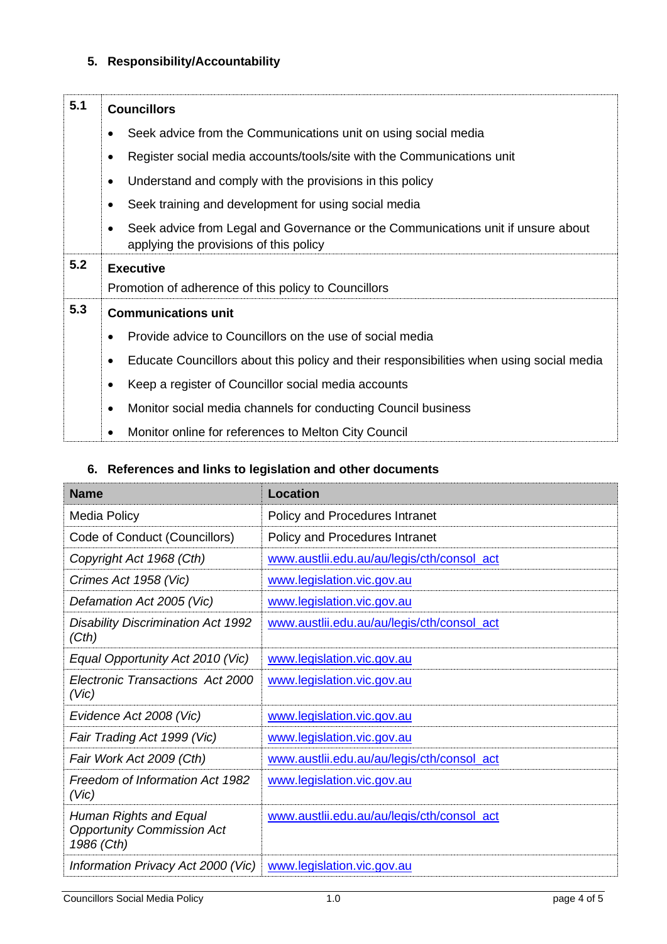# **5. Responsibility/Accountability**

| 5.1 | <b>Councillors</b>                                                                                                                      |  |
|-----|-----------------------------------------------------------------------------------------------------------------------------------------|--|
|     | Seek advice from the Communications unit on using social media                                                                          |  |
|     | Register social media accounts/tools/site with the Communications unit<br>$\bullet$                                                     |  |
|     | Understand and comply with the provisions in this policy<br>$\bullet$                                                                   |  |
|     | Seek training and development for using social media<br>$\bullet$                                                                       |  |
|     | Seek advice from Legal and Governance or the Communications unit if unsure about<br>$\bullet$<br>applying the provisions of this policy |  |
| 5.2 | <b>Executive</b>                                                                                                                        |  |
|     | Promotion of adherence of this policy to Councillors                                                                                    |  |
| 5.3 | <b>Communications unit</b>                                                                                                              |  |
|     | Provide advice to Councillors on the use of social media                                                                                |  |
|     | Educate Councillors about this policy and their responsibilities when using social media<br>$\bullet$                                   |  |
|     | Keep a register of Councillor social media accounts<br>$\bullet$                                                                        |  |
|     | Monitor social media channels for conducting Council business<br>$\bullet$                                                              |  |
|     | Monitor online for references to Melton City Council<br>$\bullet$                                                                       |  |

# **6. References and links to legislation and other documents**

| <b>Name</b>                                                               | <b>Location</b>                            |
|---------------------------------------------------------------------------|--------------------------------------------|
| Media Policy                                                              | Policy and Procedures Intranet             |
| Code of Conduct (Councillors)                                             | Policy and Procedures Intranet             |
| Copyright Act 1968 (Cth)                                                  | www.austlii.edu.au/au/legis/cth/consol_act |
| Crimes Act 1958 (Vic)                                                     | www.legislation.vic.gov.au                 |
| Defamation Act 2005 (Vic)                                                 | www.legislation.vic.gov.au                 |
| <b>Disability Discrimination Act 1992</b><br>(Cth)                        | www.austlii.edu.au/au/legis/cth/consol_act |
| Equal Opportunity Act 2010 (Vic)                                          | www.legislation.vic.gov.au                 |
| Electronic Transactions Act 2000<br>(V <sub>i</sub> c)                    | www.legislation.vic.gov.au                 |
| Evidence Act 2008 (Vic)                                                   | www.legislation.vic.gov.au                 |
| Fair Trading Act 1999 (Vic)                                               | www.legislation.vic.gov.au                 |
| Fair Work Act 2009 (Cth)                                                  | www.austlii.edu.au/au/legis/cth/consol_act |
| Freedom of Information Act 1982<br>(V <sub>i</sub> c)                     | www.legislation.vic.gov.au                 |
| Human Rights and Equal<br><b>Opportunity Commission Act</b><br>1986 (Cth) | www.austlii.edu.au/au/legis/cth/consol_act |
| Information Privacy Act 2000 (Vic)                                        | www.legislation.vic.gov.au                 |